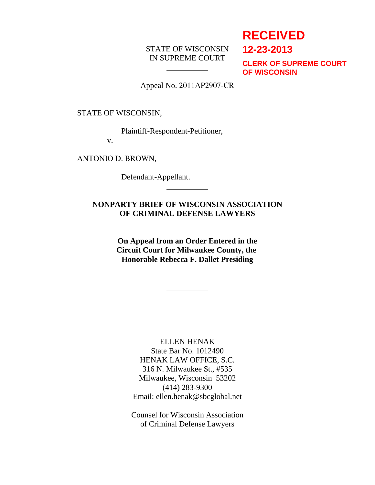# STATE OF WISCONSIN IN SUPREME COURT

# **RECEIVED**

**12-23-2013**

**CLERK OF SUPREME COURT OF WISCONSIN**

Appeal No. 2011AP2907-CR

STATE OF WISCONSIN,

Plaintiff-Respondent-Petitioner,

l

 $\overline{a}$ 

l

l

 $\overline{a}$ 

v.

ANTONIO D. BROWN,

Defendant-Appellant.

**NONPARTY BRIEF OF WISCONSIN ASSOCIATION OF CRIMINAL DEFENSE LAWYERS**

> **On Appeal from an Order Entered in the Circuit Court for Milwaukee County, the Honorable Rebecca F. Dallet Presiding**

> > ELLEN HENAK State Bar No. 1012490 HENAK LAW OFFICE, S.C. 316 N. Milwaukee St., #535 Milwaukee, Wisconsin 53202 (414) 283-9300 Email: ellen.henak@sbcglobal.net

> > Counsel for Wisconsin Association of Criminal Defense Lawyers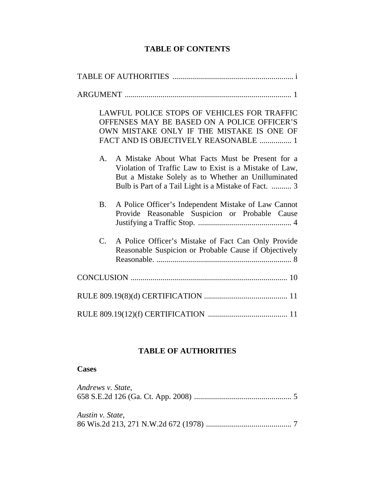# **TABLE OF CONTENTS**

| LAWFUL POLICE STOPS OF VEHICLES FOR TRAFFIC<br>OFFENSES MAY BE BASED ON A POLICE OFFICER'S<br>OWN MISTAKE ONLY IF THE MISTAKE IS ONE OF<br>FACT AND IS OBJECTIVELY REASONABLE  1                                                 |
|----------------------------------------------------------------------------------------------------------------------------------------------------------------------------------------------------------------------------------|
| A Mistake About What Facts Must be Present for a<br>A.<br>Violation of Traffic Law to Exist is a Mistake of Law,<br>But a Mistake Solely as to Whether an Unilluminated<br>Bulb is Part of a Tail Light is a Mistake of Fact.  3 |
| A Police Officer's Independent Mistake of Law Cannot<br><b>B.</b><br>Provide Reasonable Suspicion or Probable Cause                                                                                                              |
| A Police Officer's Mistake of Fact Can Only Provide<br>$C_{\cdot}$<br>Reasonable Suspicion or Probable Cause if Objectively                                                                                                      |
|                                                                                                                                                                                                                                  |
|                                                                                                                                                                                                                                  |
|                                                                                                                                                                                                                                  |

# **TABLE OF AUTHORITIES**

# **Cases**

| Andrews v. State, |  |
|-------------------|--|
| Austin v. State,  |  |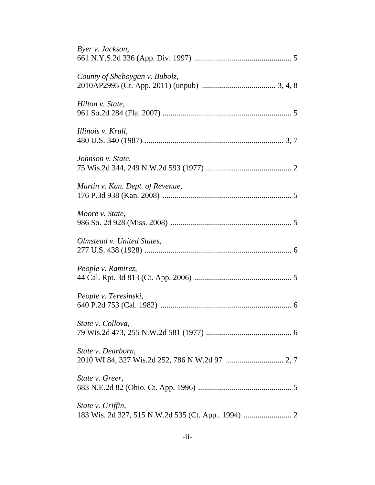| Byer v. Jackson,                 |
|----------------------------------|
| County of Sheboygan v. Bubolz,   |
| Hilton v. State,                 |
| Illinois v. Krull,               |
| Johnson v. State,                |
| Martin v. Kan. Dept. of Revenue, |
| Moore v. State,                  |
| Olmstead v. United States,       |
| People v. Ramirez,               |
| People v. Teresinski,            |
| State v. Collova,                |
| State v. Dearborn,               |
| State v. Greer,                  |
| State v. Griffin,                |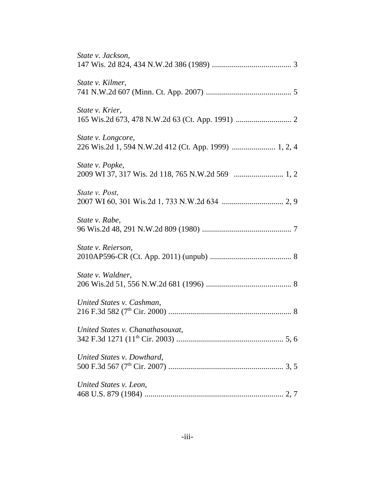| State v. Jackson,                                                           |
|-----------------------------------------------------------------------------|
| State v. Kilmer,                                                            |
| State v. Krier,                                                             |
| State v. Longcore,<br>226 Wis.2d 1, 594 N.W.2d 412 (Ct. App. 1999)  1, 2, 4 |
| State v. Popke,                                                             |
| State v. Post,                                                              |
| State v. Rabe,                                                              |
| State v. Reierson,                                                          |
| State v. Waldner,                                                           |
| United States v. Cashman,                                                   |
| United States v. Chanathasouxat,                                            |
| United States v. Dowthard,                                                  |
| United States v. Leon,                                                      |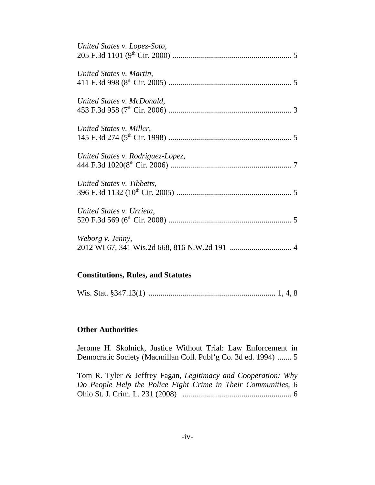| United States v. Lopez-Soto,      |
|-----------------------------------|
| United States v. Martin,          |
| United States v. McDonald,        |
| United States v. Miller,          |
| United States v. Rodriguez-Lopez, |
| United States v. Tibbetts,        |
| United States v. Urrieta,         |
| Weborg v. Jenny,                  |

# **Constitutions, Rules, and Statutes**

|--|--|--|--|--|--|

#### **Other Authorities**

Jerome H. Skolnick, Justice Without Trial: Law Enforcement in Democratic Society (Macmillan Coll. Publ'g Co. 3d ed. 1994) ....... 5

Tom R. Tyler & Jeffrey Fagan, *Legitimacy and Cooperation: Why Do People Help the Police Fight Crime in Their Communities,* 6 Ohio St. J. Crim. L. 231 (2008) ....................................................... 6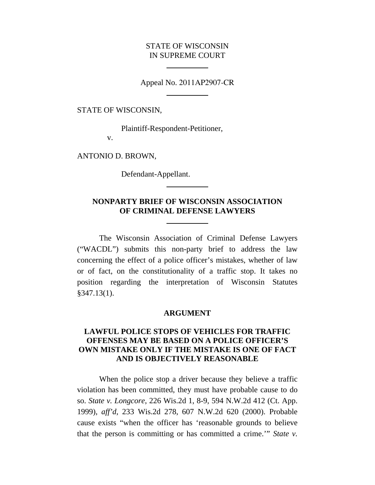### STATE OF WISCONSIN IN SUPREME COURT

Appeal No. 2011AP2907-CR

STATE OF WISCONSIN,

Plaintiff-Respondent-Petitioner,

l

 $\overline{a}$ 

v.

ANTONIO D. BROWN,

Defendant-Appellant.

l

 $\overline{a}$ 

# **NONPARTY BRIEF OF WISCONSIN ASSOCIATION OF CRIMINAL DEFENSE LAWYERS**

The Wisconsin Association of Criminal Defense Lawyers ("WACDL") submits this non-party brief to address the law concerning the effect of a police officer's mistakes, whether of law or of fact, on the constitutionality of a traffic stop. It takes no position regarding the interpretation of Wisconsin Statutes §347.13(1).

#### **ARGUMENT**

# **LAWFUL POLICE STOPS OF VEHICLES FOR TRAFFIC OFFENSES MAY BE BASED ON A POLICE OFFICER'S OWN MISTAKE ONLY IF THE MISTAKE IS ONE OF FACT AND IS OBJECTIVELY REASONABLE**

When the police stop a driver because they believe a traffic violation has been committed, they must have probable cause to do so. *State v. Longcore*, 226 Wis.2d 1, 8-9, 594 N.W.2d 412 (Ct. App. 1999), *aff'd*, 233 Wis.2d 278, 607 N.W.2d 620 (2000). Probable cause exists "when the officer has 'reasonable grounds to believe that the person is committing or has committed a crime.'" *State v.*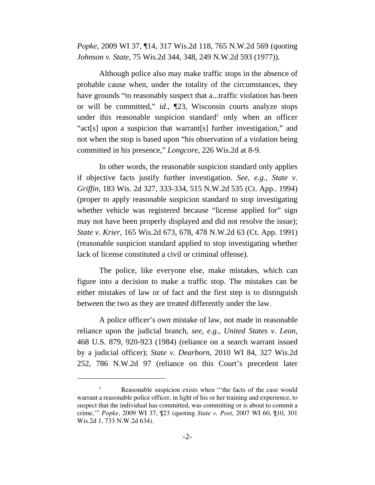*Popke*, 2009 WI 37, ¶14, 317 Wis.2d 118, 765 N.W.2d 569 (quoting *Johnson v. State*, 75 Wis.2d 344, 348, 249 N.W.2d 593 (1977)).

Although police also may make traffic stops in the absence of probable cause when, under the totality of the circumstances, they have grounds "to reasonably suspect that a...traffic violation has been or will be committed," *id*., ¶23, Wisconsin courts analyze stops under this reasonable suspicion standard<sup>1</sup> only when an officer "act[s] upon a suspicion that warrant[s] further investigation," and not when the stop is based upon "his observation of a violation being committed in his presence," *Longcore*, 226 Wis.2d at 8-9.

In other words, the reasonable suspicion standard only applies if objective facts justify further investigation. *See, e.g., State v. Griffin*, 183 Wis. 2d 327, 333-334, 515 N.W.2d 535 (Ct. App.. 1994) (proper to apply reasonable suspicion standard to stop investigating whether vehicle was registered because "license applied for" sign may not have been properly displayed and did not resolve the issue); *State v. Krier,* 165 Wis.2d 673, 678, 478 N.W.2d 63 (Ct. App. 1991) (reasonable suspicion standard applied to stop investigating whether lack of license constituted a civil or criminal offense).

The police, like everyone else, make mistakes, which can figure into a decision to make a traffic stop. The mistakes can be either mistakes of law or of fact and the first step is to distinguish between the two as they are treated differently under the law.

A police officer's *own* mistake of law, not made in reasonable reliance upon the judicial branch, *see, e.g., United States v. Leon*, 468 U.S. 879, 920-923 (1984) (reliance on a search warrant issued by a judicial officer); *State v. Dearborn*, 2010 WI 84, 327 Wis.2d 252, 786 N.W.2d 97 (reliance on this Court's precedent later

Reasonable suspicion exists when "the facts of the case would warrant a reasonable police officer, in light of his or her training and experience, to suspect that the individual has committed, was committing or is about to commit a crime,'" *Popke*, 2009 WI 37, ¶23 (quoting *State v. Post*, 2007 WI 60, ¶10, 301 Wis.2d 1, 733 N.W.2d 634).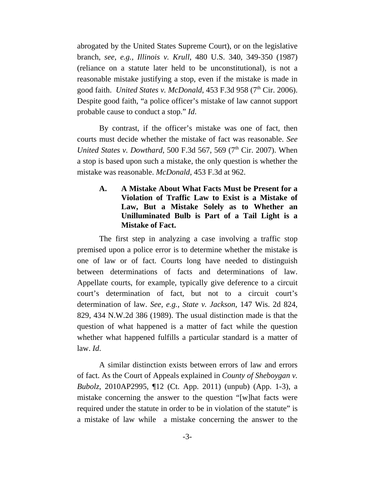abrogated by the United States Supreme Court), or on the legislative branch, *see, e.g., Illinois v. Krull*, 480 U.S. 340, 349-350 (1987) (reliance on a statute later held to be unconstitutional), is not a reasonable mistake justifying a stop, even if the mistake is made in good faith. *United States v. McDonald*,  $453$  F.3d  $958$  ( $7<sup>th</sup>$  Cir. 2006). Despite good faith, "a police officer's mistake of law cannot support probable cause to conduct a stop." *Id*.

By contrast, if the officer's mistake was one of fact, then courts must decide whether the mistake of fact was reasonable. *See United States v. Dowthard,* 500 F.3d 567, 569 (7<sup>th</sup> Cir. 2007). When a stop is based upon such a mistake, the only question is whether the mistake was reasonable. *McDonald*, 453 F.3d at 962.

# **A. A Mistake About What Facts Must be Present for a Violation of Traffic Law to Exist is a Mistake of Law, But a Mistake Solely as to Whether an Unilluminated Bulb is Part of a Tail Light is a Mistake of Fact.**

The first step in analyzing a case involving a traffic stop premised upon a police error is to determine whether the mistake is one of law or of fact. Courts long have needed to distinguish between determinations of facts and determinations of law. Appellate courts, for example, typically give deference to a circuit court's determination of fact, but not to a circuit court's determination of law. *See, e.g., State v. Jackson*, 147 Wis. 2d 824, 829, 434 N.W.2d 386 (1989). The usual distinction made is that the question of what happened is a matter of fact while the question whether what happened fulfills a particular standard is a matter of law. *Id*.

A similar distinction exists between errors of law and errors of fact. As the Court of Appeals explained in *County of Sheboygan v. Bubolz*, 2010AP2995, ¶12 (Ct. App. 2011) (unpub) (App. 1-3), a mistake concerning the answer to the question "[w]hat facts were required under the statute in order to be in violation of the statute" is a mistake of law while a mistake concerning the answer to the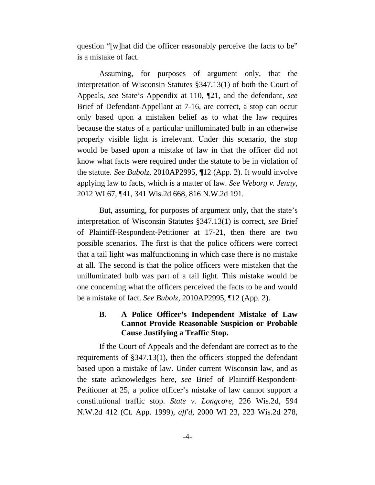question "[w]hat did the officer reasonably perceive the facts to be" is a mistake of fact.

Assuming, for purposes of argument only, that the interpretation of Wisconsin Statutes §347.13(1) of both the Court of Appeals, *see* State's Appendix at 110, ¶21, and the defendant, *see* Brief of Defendant-Appellant at 7-16, are correct, a stop can occur only based upon a mistaken belief as to what the law requires because the status of a particular unilluminated bulb in an otherwise properly visible light is irrelevant. Under this scenario, the stop would be based upon a mistake of law in that the officer did not know what facts were required under the statute to be in violation of the statute. *See Bubolz*, 2010AP2995, ¶12 (App. 2). It would involve applying law to facts, which is a matter of law. *See Weborg v. Jenny*, 2012 WI 67, ¶41, 341 Wis.2d 668, 816 N.W.2d 191.

But, assuming, for purposes of argument only, that the state's interpretation of Wisconsin Statutes §347.13(1) is correct, *see* Brief of Plaintiff-Respondent-Petitioner at 17-21, then there are two possible scenarios. The first is that the police officers were correct that a tail light was malfunctioning in which case there is no mistake at all. The second is that the police officers were mistaken that the unilluminated bulb was part of a tail light. This mistake would be one concerning what the officers perceived the facts to be and would be a mistake of fact. *See Bubolz*, 2010AP2995, ¶12 (App. 2).

# **B. A Police Officer's Independent Mistake of Law Cannot Provide Reasonable Suspicion or Probable Cause Justifying a Traffic Stop.**

If the Court of Appeals and the defendant are correct as to the requirements of §347.13(1), then the officers stopped the defendant based upon a mistake of law. Under current Wisconsin law, and as the state acknowledges here, *see* Brief of Plaintiff-Respondent-Petitioner at 25, a police officer's mistake of law cannot support a constitutional traffic stop. *State v. Longcore*, 226 Wis.2d, 594 N.W.2d 412 (Ct. App. 1999), *aff'd*, 2000 WI 23, 223 Wis.2d 278,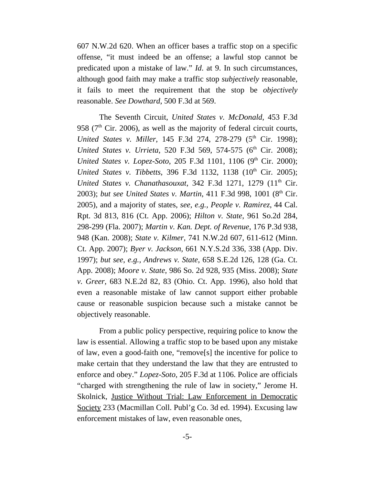607 N.W.2d 620. When an officer bases a traffic stop on a specific offense, "it must indeed be an offense; a lawful stop cannot be predicated upon a mistake of law." *Id*. at 9. In such circumstances, although good faith may make a traffic stop *subjectively* reasonable, it fails to meet the requirement that the stop be *objectively* reasonable. *See Dowthard*, 500 F.3d at 569.

The Seventh Circuit, *United States v. McDonald*, 453 F.3d 958 ( $7<sup>th</sup>$  Cir. 2006), as well as the majority of federal circuit courts, *United States v. Miller*, 145 F.3d 274, 278-279 (5<sup>th</sup> Cir. 1998); *United States v. Urrieta*, 520 F.3d 569, 574-575 (6<sup>th</sup> Cir. 2008); *United States v. Lopez-Soto*, 205 F.3d 1101, 1106 (9<sup>th</sup> Cir. 2000); *United States v. Tibbetts*, 396 F.3d 1132, 1138 (10<sup>th</sup> Cir. 2005); *United States v. Chanathasouxat*, 342 F.3d 1271, 1279 (11<sup>th</sup> Cir. 2003); *but see United States v. Martin*, 411 F.3d 998, 1001 (8<sup>th</sup> Cir. 2005), and a majority of states, *see, e.g., People v. Ramirez*, 44 Cal. Rpt. 3d 813, 816 (Ct. App. 2006); *Hilton v. State*, 961 So.2d 284, 298-299 (Fla. 2007); *Martin v. Kan. Dept. of Revenue*, 176 P.3d 938, 948 (Kan. 2008); *State v. Kilmer*, 741 N.W.2d 607, 611-612 (Minn. Ct. App. 2007); *Byer v. Jackson,* 661 N.Y.S.2d 336, 338 (App. Div. 1997); *but see*, *e.g., Andrews v. State*, 658 S.E.2d 126, 128 (Ga. Ct. App. 2008); *Moore v. State*, 986 So. 2d 928, 935 (Miss. 2008); *State v. Greer*, 683 N.E.2d 82, 83 (Ohio. Ct. App. 1996), also hold that even a reasonable mistake of law cannot support either probable cause or reasonable suspicion because such a mistake cannot be objectively reasonable.

From a public policy perspective, requiring police to know the law is essential. Allowing a traffic stop to be based upon any mistake of law, even a good-faith one, "remove[s] the incentive for police to make certain that they understand the law that they are entrusted to enforce and obey." *Lopez-Soto*, 205 F.3d at 1106. Police are officials "charged with strengthening the rule of law in society," Jerome H. Skolnick, Justice Without Trial: Law Enforcement in Democratic Society 233 (Macmillan Coll. Publ'g Co. 3d ed. 1994). Excusing law enforcement mistakes of law, even reasonable ones,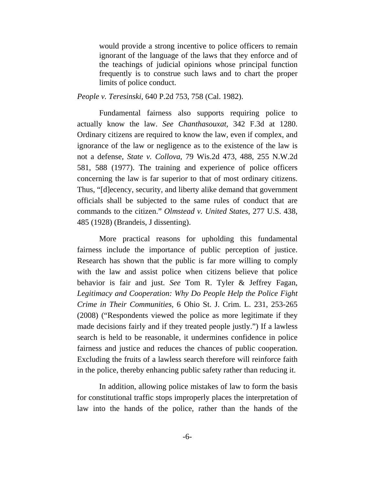would provide a strong incentive to police officers to remain ignorant of the language of the laws that they enforce and of the teachings of judicial opinions whose principal function frequently is to construe such laws and to chart the proper limits of police conduct.

*People v. Teresinski*, 640 P.2d 753, 758 (Cal. 1982).

Fundamental fairness also supports requiring police to actually know the law. *See Chanthasouxat*, 342 F.3d at 1280. Ordinary citizens are required to know the law, even if complex, and ignorance of the law or negligence as to the existence of the law is not a defense, *State v. Collova*, 79 Wis.2d 473, 488, 255 N.W.2d 581, 588 (1977). The training and experience of police officers concerning the law is far superior to that of most ordinary citizens. Thus, "[d]ecency, security, and liberty alike demand that government officials shall be subjected to the same rules of conduct that are commands to the citizen." *Olmstead v. United States*, 277 U.S. 438, 485 (1928) (Brandeis, J dissenting).

More practical reasons for upholding this fundamental fairness include the importance of public perception of justice. Research has shown that the public is far more willing to comply with the law and assist police when citizens believe that police behavior is fair and just. *See* Tom R. Tyler & Jeffrey Fagan, *Legitimacy and Cooperation: Why Do People Help the Police Fight Crime in Their Communities,* 6 Ohio St. J. Crim. L. 231, 253-265 (2008) ("Respondents viewed the police as more legitimate if they made decisions fairly and if they treated people justly.") If a lawless search is held to be reasonable, it undermines confidence in police fairness and justice and reduces the chances of public cooperation. Excluding the fruits of a lawless search therefore will reinforce faith in the police, thereby enhancing public safety rather than reducing it.

In addition, allowing police mistakes of law to form the basis for constitutional traffic stops improperly places the interpretation of law into the hands of the police, rather than the hands of the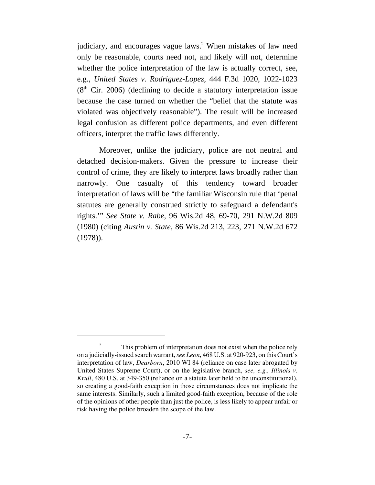judiciary, and encourages vague laws.<sup>2</sup> When mistakes of law need only be reasonable, courts need not, and likely will not, determine whether the police interpretation of the law is actually correct, see, e.g., *United States v. Rodriguez-Lopez,* 444 F.3d 1020, 1022-1023  $(8<sup>th</sup>$  Cir. 2006) (declining to decide a statutory interpretation issue because the case turned on whether the "belief that the statute was violated was objectively reasonable"). The result will be increased legal confusion as different police departments, and even different officers, interpret the traffic laws differently.

Moreover, unlike the judiciary, police are not neutral and detached decision-makers. Given the pressure to increase their control of crime, they are likely to interpret laws broadly rather than narrowly. One casualty of this tendency toward broader interpretation of laws will be "the familiar Wisconsin rule that 'penal statutes are generally construed strictly to safeguard a defendant's rights.'" *See State v. Rabe*, 96 Wis.2d 48, 69-70, 291 N.W.2d 809 (1980) (citing *Austin v. State*, 86 Wis.2d 213, 223, 271 N.W.2d 672 (1978)).

<sup>2</sup> This problem of interpretation does not exist when the police rely on a judicially-issued search warrant, *see Leon*, 468 U.S. at 920-923, on this Court's interpretation of law, *Dearborn*, 2010 WI 84 (reliance on case later abrogated by United States Supreme Court), or on the legislative branch, *see, e.g., Illinois v. Krull*, 480 U.S. at 349-350 (reliance on a statute later held to be unconstitutional), so creating a good-faith exception in those circumstances does not implicate the same interests. Similarly, such a limited good-faith exception, because of the role of the opinions of other people than just the police, is less likely to appear unfair or risk having the police broaden the scope of the law.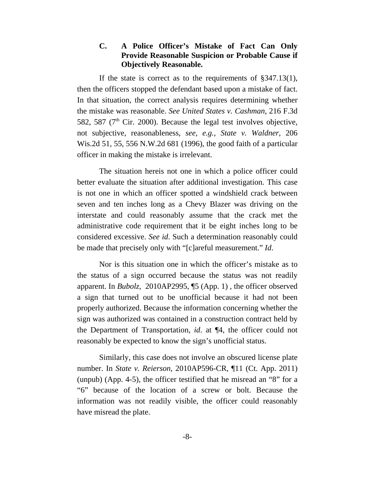# **C. A Police Officer's Mistake of Fact Can Only Provide Reasonable Suspicion or Probable Cause if Objectively Reasonable.**

If the state is correct as to the requirements of §347.13(1), then the officers stopped the defendant based upon a mistake of fact. In that situation, the correct analysis requires determining whether the mistake was reasonable. *See United States v. Cashman*, 216 F.3d 582, 587 ( $7<sup>th</sup>$  Cir. 2000). Because the legal test involves objective, not subjective, reasonableness, *see, e.g., State v. Waldner*, 206 Wis.2d 51, 55, 556 N.W.2d 681 (1996), the good faith of a particular officer in making the mistake is irrelevant.

The situation hereis not one in which a police officer could better evaluate the situation after additional investigation. This case is not one in which an officer spotted a windshield crack between seven and ten inches long as a Chevy Blazer was driving on the interstate and could reasonably assume that the crack met the administrative code requirement that it be eight inches long to be considered excessive. *See id*. Such a determination reasonably could be made that precisely only with "[c]areful measurement." *Id*.

Nor is this situation one in which the officer's mistake as to the status of a sign occurred because the status was not readily apparent. In *Bubolz*, 2010AP2995, ¶5 (App. 1) , the officer observed a sign that turned out to be unofficial because it had not been properly authorized. Because the information concerning whether the sign was authorized was contained in a construction contract held by the Department of Transportation, *id*. at ¶4, the officer could not reasonably be expected to know the sign's unofficial status.

Similarly, this case does not involve an obscured license plate number. In *State v. Reierson*, 2010AP596-CR, ¶11 (Ct. App. 2011) (unpub) (App. 4-5), the officer testified that he misread an "8" for a "6" because of the location of a screw or bolt. Because the information was not readily visible, the officer could reasonably have misread the plate.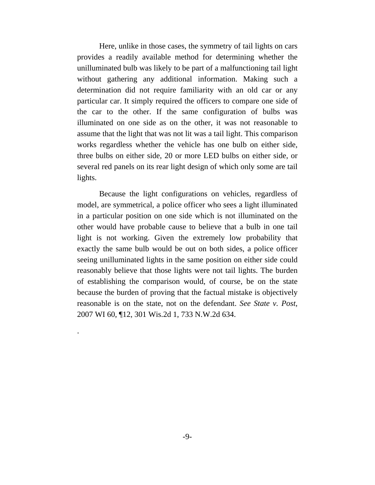Here, unlike in those cases, the symmetry of tail lights on cars provides a readily available method for determining whether the unilluminated bulb was likely to be part of a malfunctioning tail light without gathering any additional information. Making such a determination did not require familiarity with an old car or any particular car. It simply required the officers to compare one side of the car to the other. If the same configuration of bulbs was illuminated on one side as on the other, it was not reasonable to assume that the light that was not lit was a tail light. This comparison works regardless whether the vehicle has one bulb on either side, three bulbs on either side, 20 or more LED bulbs on either side, or several red panels on its rear light design of which only some are tail lights.

Because the light configurations on vehicles, regardless of model, are symmetrical, a police officer who sees a light illuminated in a particular position on one side which is not illuminated on the other would have probable cause to believe that a bulb in one tail light is not working. Given the extremely low probability that exactly the same bulb would be out on both sides, a police officer seeing unilluminated lights in the same position on either side could reasonably believe that those lights were not tail lights. The burden of establishing the comparison would, of course, be on the state because the burden of proving that the factual mistake is objectively reasonable is on the state, not on the defendant. *See State v. Post*, 2007 WI 60, ¶12, 301 Wis.2d 1, 733 N.W.2d 634.

.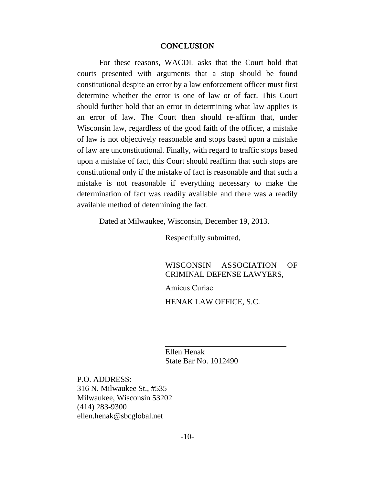#### **CONCLUSION**

For these reasons, WACDL asks that the Court hold that courts presented with arguments that a stop should be found constitutional despite an error by a law enforcement officer must first determine whether the error is one of law or of fact. This Court should further hold that an error in determining what law applies is an error of law. The Court then should re-affirm that, under Wisconsin law, regardless of the good faith of the officer, a mistake of law is not objectively reasonable and stops based upon a mistake of law are unconstitutional. Finally, with regard to traffic stops based upon a mistake of fact, this Court should reaffirm that such stops are constitutional only if the mistake of fact is reasonable and that such a mistake is not reasonable if everything necessary to make the determination of fact was readily available and there was a readily available method of determining the fact.

Dated at Milwaukee, Wisconsin, December 19, 2013.

Respectfully submitted,

WISCONSIN ASSOCIATION OF CRIMINAL DEFENSE LAWYERS, Amicus Curiae HENAK LAW OFFICE, S.C.

Ellen Henak State Bar No. 1012490

 $\overline{a}$ 

P.O. ADDRESS: 316 N. Milwaukee St., #535 Milwaukee, Wisconsin 53202 (414) 283-9300 ellen.henak@sbcglobal.net